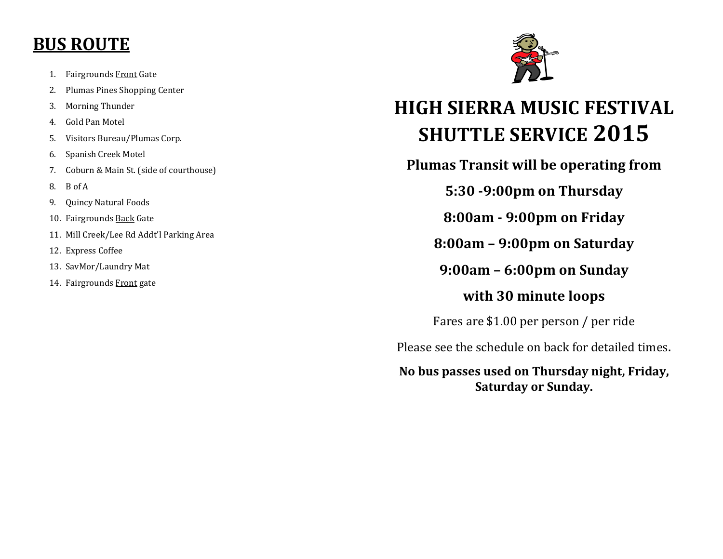## **BUS ROUTE**

- 1. Fairgrounds Front Gate
- 2. Plumas Pines Shopping Center
- 3. Morning Thunder
- 4. Gold Pan Motel
- 5. Visitors Bureau/Plumas Corp.
- 6. Spanish Creek Motel
- 7. Coburn & Main St. (side of courthouse)
- 8. B of A
- 9. Quincy Natural Foods
- 10. Fairgrounds **Back** Gate
- 11. Mill Creek/Lee Rd Addt'l Parking Area
- 12. Express Coffee
- 13. SavMor/Laundry Mat
- 14. Fairgrounds Front gate



## **HIGH SIERRA MUSIC FESTIVAL SHUTTLE SERVICE 2015**

**Plumas Transit will be operating from** 

**5:30 -9:00pm on Thursday** 

**8:00am - 9:00pm on Friday** 

**8:00am – 9:00pm on Saturday** 

**9:00am – 6:00pm on Sunday**

## **with 30 minute loops**

Fares are \$1.00 per person / per ride

Please see the schedule on back for detailed times.

**No bus passes used on Thursday night, Friday, Saturday or Sunday.**